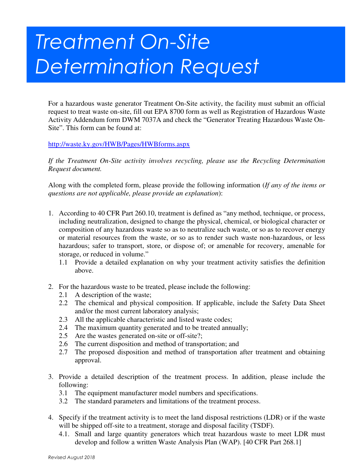## Treatment On-Site Determination Request

For a hazardous waste generator Treatment On-Site activity, the facility must submit an official request to treat waste on-site, fill out EPA 8700 form as well as Registration of Hazardous Waste Activity Addendum form DWM 7037A and check the "Generator Treating Hazardous Waste On-Site". This form can be found at:

## http://waste.ky.gov/HWB/Pages/HWBforms.aspx

*If the Treatment On-Site activity involves recycling, please use the Recycling Determination Request document.* 

Along with the completed form, please provide the following information (*If any of the items or questions are not applicable, please provide an explanation*):

- 1. According to 40 CFR Part 260.10, treatment is defined as "any method, technique, or process, including neutralization, designed to change the physical, chemical, or biological character or composition of any hazardous waste so as to neutralize such waste, or so as to recover energy or material resources from the waste, or so as to render such waste non-hazardous, or less hazardous; safer to transport, store, or dispose of; or amenable for recovery, amenable for storage, or reduced in volume."
	- 1.1 Provide a detailed explanation on why your treatment activity satisfies the definition above.
- 2. For the hazardous waste to be treated, please include the following:
	- 2.1 A description of the waste;
	- 2.2 The chemical and physical composition. If applicable, include the Safety Data Sheet and/or the most current laboratory analysis;
	- 2.3 All the applicable characteristic and listed waste codes;
	- 2.4 The maximum quantity generated and to be treated annually;
	- 2.5 Are the wastes generated on-site or off-site?;
	- 2.6 The current disposition and method of transportation; and
	- 2.7 The proposed disposition and method of transportation after treatment and obtaining approval.
- 3. Provide a detailed description of the treatment process. In addition, please include the following:
	- 3.1 The equipment manufacturer model numbers and specifications.
	- 3.2 The standard parameters and limitations of the treatment process.
- 4. Specify if the treatment activity is to meet the land disposal restrictions (LDR) or if the waste will be shipped off-site to a treatment, storage and disposal facility (TSDF).
	- 4.1. Small and large quantity generators which treat hazardous waste to meet LDR must develop and follow a written Waste Analysis Plan (WAP). [40 CFR Part 268.1]